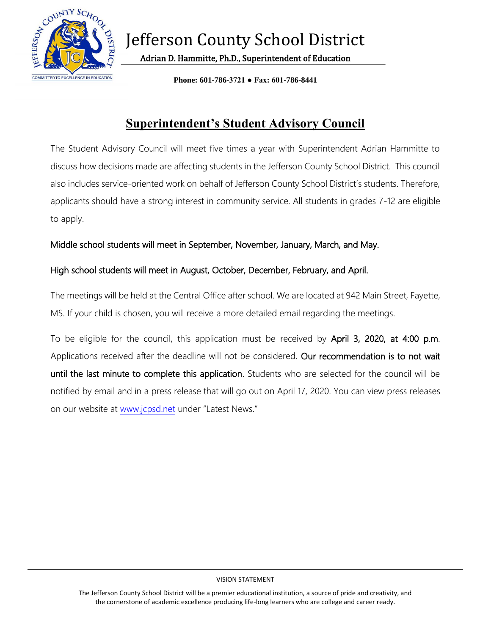

Adrian D. Hammitte, Ph.D., Superintendent of Education

**Phone: 601-786-3721 ● Fax: 601-786-8441**

## **Superintendent's Student Advisory Council**

The Student Advisory Council will meet five times a year with Superintendent Adrian Hammitte to discuss how decisions made are affecting students in the Jefferson County School District. This council also includes service-oriented work on behalf of Jefferson County School District's students. Therefore, applicants should have a strong interest in community service. All students in grades 7-12 are eligible to apply.

## Middle school students will meet in September, November, January, March, and May.

## High school students will meet in August, October, December, February, and April.

The meetings will be held at the Central Office after school. We are located at 942 Main Street, Fayette, MS. If your child is chosen, you will receive a more detailed email regarding the meetings.

To be eligible for the council, this application must be received by April 3, 2020, at 4:00 p.m. Applications received after the deadline will not be considered. Our recommendation is to not wait until the last minute to complete this application. Students who are selected for the council will be notified by email and in a press release that will go out on April 17, 2020. You can view press releases on our website at [www.jcpsd.net](http://www.jcpsd.net/) under "Latest News."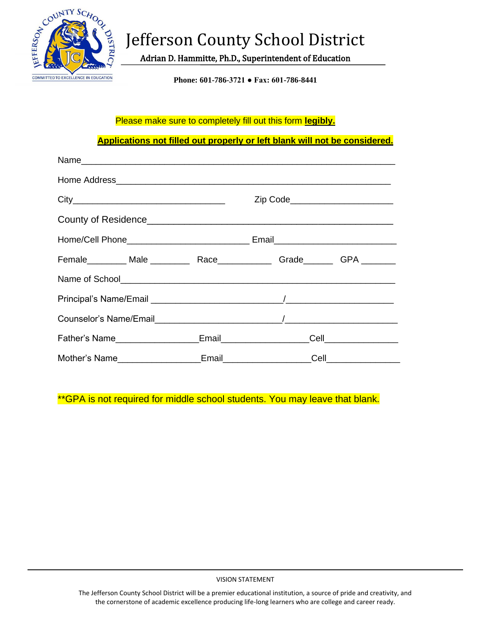

# Jefferson County School District

Adrian D. Hammitte, Ph.D., Superintendent of Education

**Phone: 601-786-3721 ● Fax: 601-786-8441**

### Please make sure to completely fill out this form **legibly.**

**Applications not filled out properly or left blank will not be considered.**

|                                                                                |  | Zip Code______________________                        |                                              |
|--------------------------------------------------------------------------------|--|-------------------------------------------------------|----------------------------------------------|
|                                                                                |  |                                                       |                                              |
|                                                                                |  |                                                       |                                              |
| Female_________ Male ___________ Race______________ Grade________ GPA ________ |  |                                                       |                                              |
|                                                                                |  |                                                       |                                              |
|                                                                                |  |                                                       |                                              |
|                                                                                |  |                                                       |                                              |
|                                                                                |  |                                                       | _Cell__________________                      |
|                                                                                |  | Email <b>Exercise Service Service Service Service</b> | $\mathsf{Cell}$ . The set of $\mathsf{Cell}$ |

\*\*GPA is not required for middle school students. You may leave that blank.

VISION STATEMENT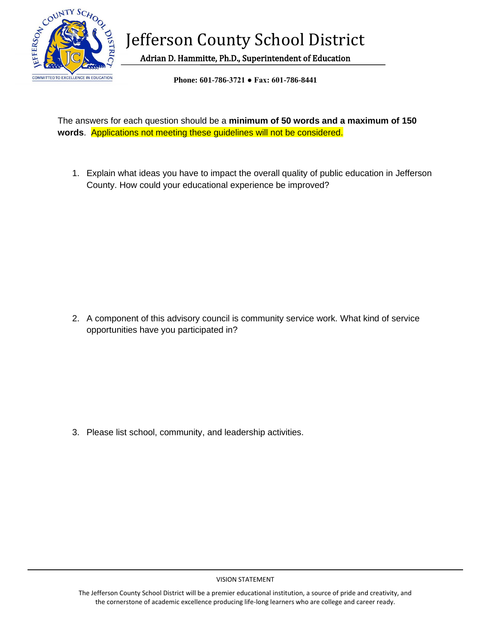

Jefferson County School District

Adrian D. Hammitte, Ph.D., Superintendent of Education

**Phone: 601-786-3721 ● Fax: 601-786-8441**

The answers for each question should be a **minimum of 50 words and a maximum of 150 words**. Applications not meeting these guidelines will not be considered.

1. Explain what ideas you have to impact the overall quality of public education in Jefferson County. How could your educational experience be improved?

2. A component of this advisory council is community service work. What kind of service opportunities have you participated in?

3. Please list school, community, and leadership activities.

#### VISION STATEMENT